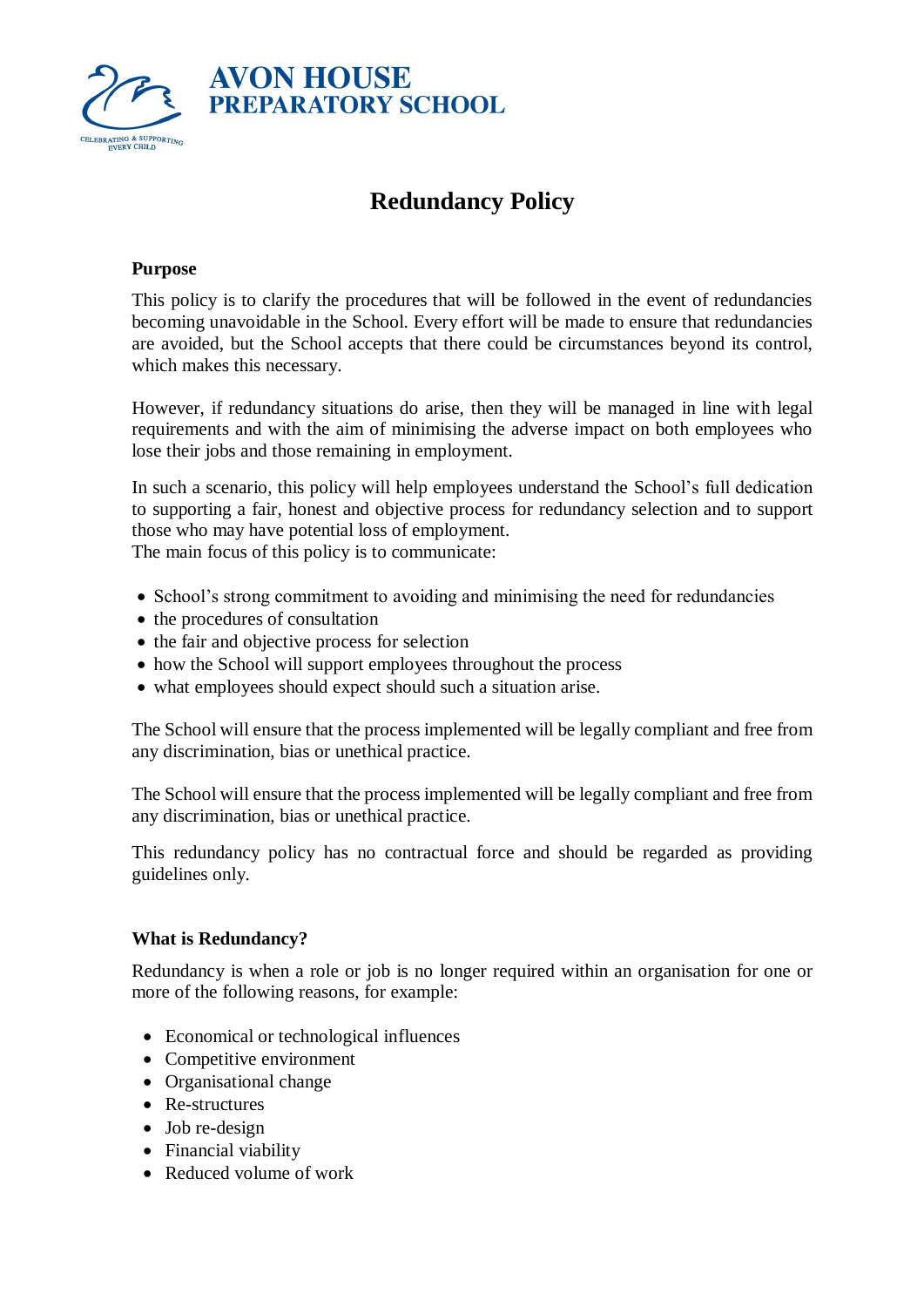

# **Redundancy Policy**

## **Purpose**

This policy is to clarify the procedures that will be followed in the event of redundancies becoming unavoidable in the School. Every effort will be made to ensure that redundancies are avoided, but the School accepts that there could be circumstances beyond its control, which makes this necessary.

However, if redundancy situations do arise, then they will be managed in line with legal requirements and with the aim of minimising the adverse impact on both employees who lose their jobs and those remaining in employment.

In such a scenario, this policy will help employees understand the School's full dedication to supporting a fair, honest and objective process for redundancy selection and to support those who may have potential loss of employment.

The main focus of this policy is to communicate:

- School's strong commitment to avoiding and minimising the need for redundancies
- the procedures of consultation
- the fair and objective process for selection
- how the School will support employees throughout the process
- what employees should expect should such a situation arise.

The School will ensure that the process implemented will be legally compliant and free from any discrimination, bias or unethical practice.

The School will ensure that the process implemented will be legally compliant and free from any discrimination, bias or unethical practice.

This redundancy policy has no contractual force and should be regarded as providing guidelines only.

#### **What is Redundancy?**

Redundancy is when a role or job is no longer required within an organisation for one or more of the following reasons, for example:

- Economical or technological influences
- Competitive environment
- Organisational change
- Re-structures
- Job re-design
- Financial viability
- Reduced volume of work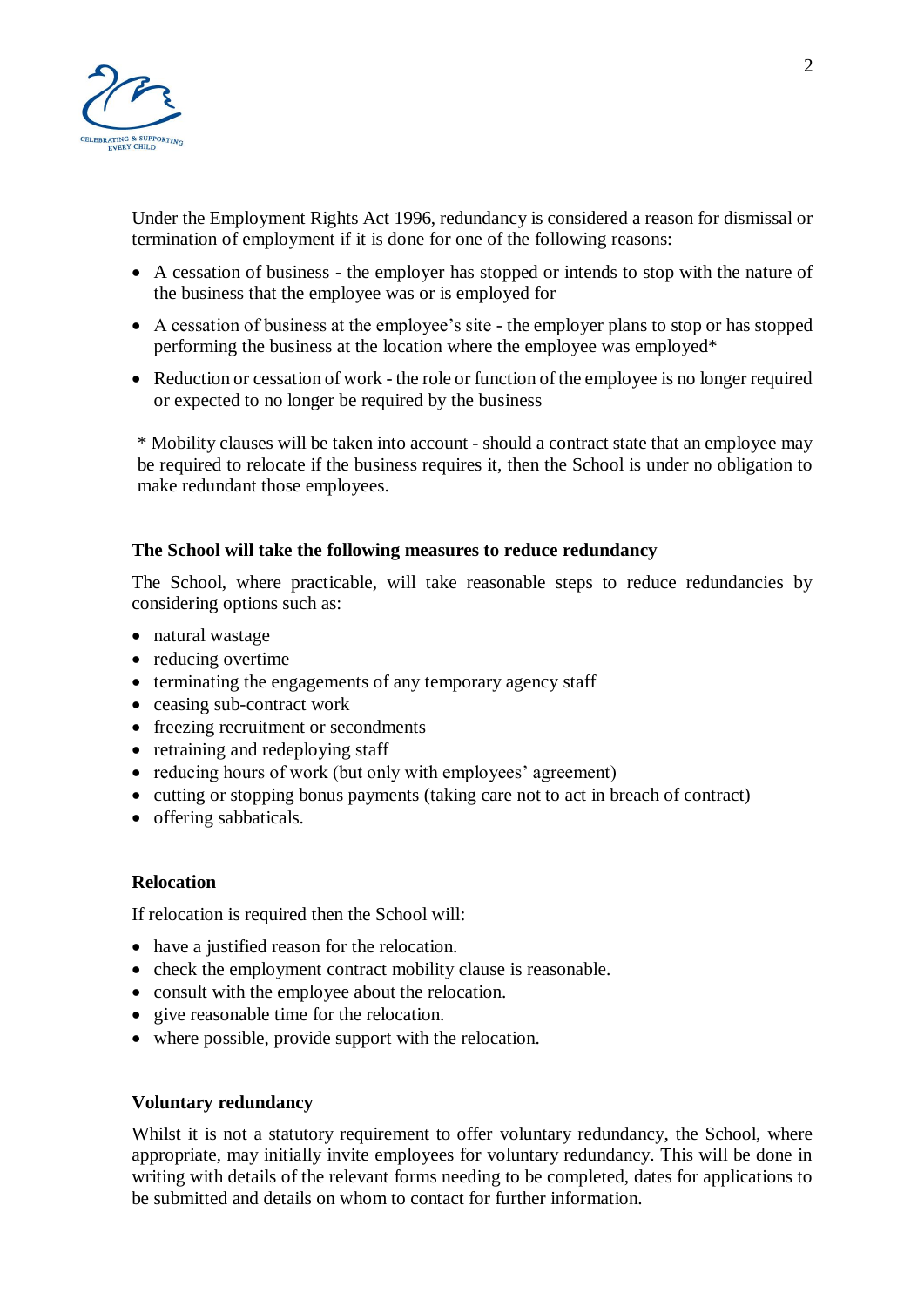

Under the Employment Rights Act 1996, redundancy is considered a reason for dismissal or termination of employment if it is done for one of the following reasons:

- A cessation of business **-** the employer has stopped or intends to stop with the nature of the business that the employee was or is employed for
- A cessation of business at the employee's site the employer plans to stop or has stopped performing the business at the location where the employee was employed\*
- Reduction or cessation of work the role or function of the employee is no longer required or expected to no longer be required by the business

\* Mobility clauses will be taken into account - should a contract state that an employee may be required to relocate if the business requires it, then the School is under no obligation to make redundant those employees.

## **The School will take the following measures to reduce redundancy**

The School, where practicable, will take reasonable steps to reduce redundancies by considering options such as:

- natural wastage
- reducing overtime
- terminating the engagements of any temporary agency staff
- ceasing sub-contract work
- freezing recruitment or secondments
- retraining and redeploying staff
- reducing hours of work (but only with employees' agreement)
- cutting or stopping bonus payments (taking care not to act in breach of contract)
- offering sabbaticals.

#### **Relocation**

If relocation is required then the School will:

- have a justified reason for the relocation.
- check the employment contract mobility clause is reasonable.
- consult with the employee about the relocation.
- give reasonable time for the relocation.
- where possible, provide support with the relocation.

#### **Voluntary redundancy**

Whilst it is not a statutory requirement to offer voluntary redundancy, the School, where appropriate, may initially invite employees for voluntary redundancy. This will be done in writing with details of the relevant forms needing to be completed, dates for applications to be submitted and details on whom to contact for further information.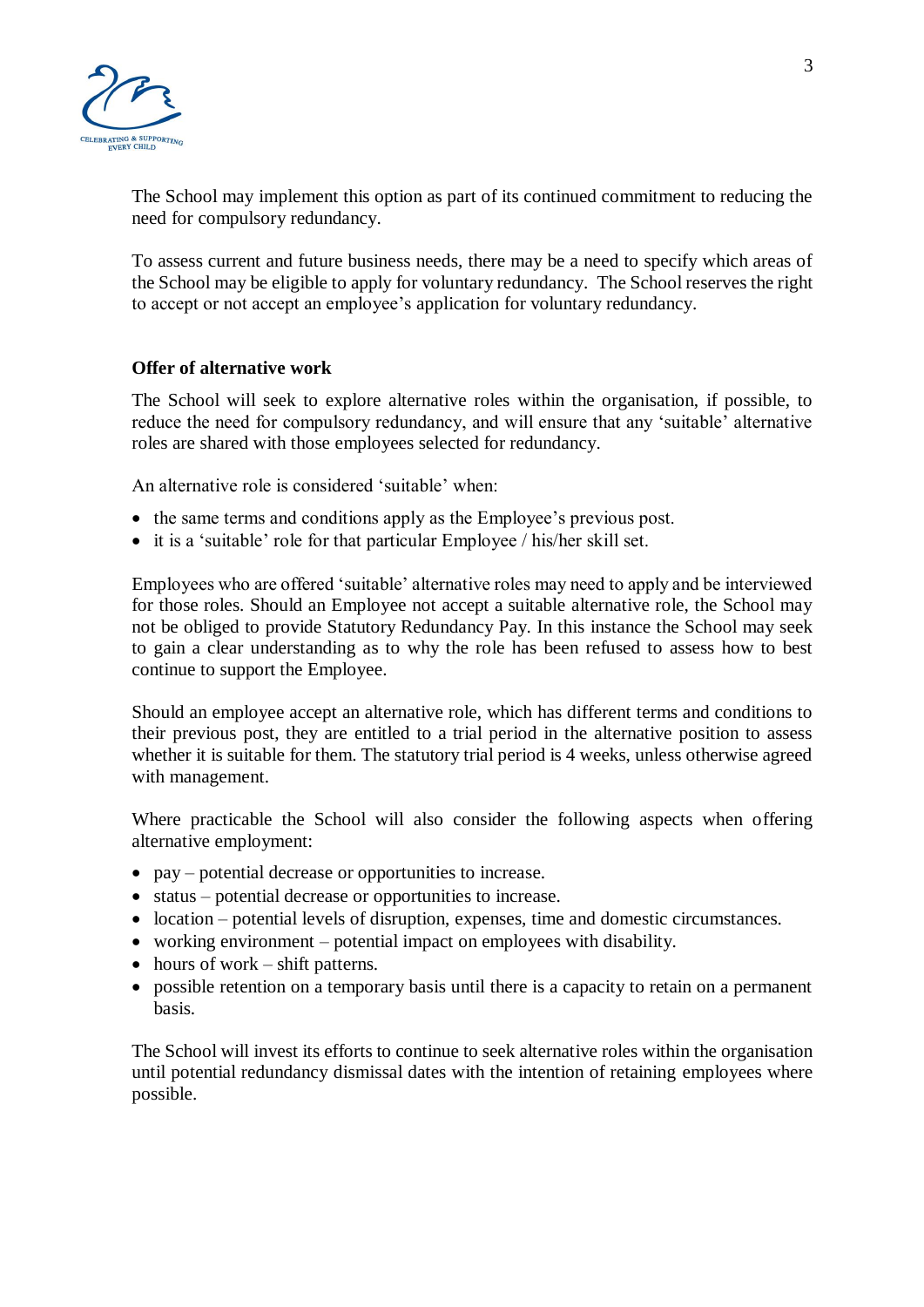

The School may implement this option as part of its continued commitment to reducing the need for compulsory redundancy.

To assess current and future business needs, there may be a need to specify which areas of the School may be eligible to apply for voluntary redundancy. The School reserves the right to accept or not accept an employee's application for voluntary redundancy.

#### **Offer of alternative work**

The School will seek to explore alternative roles within the organisation, if possible, to reduce the need for compulsory redundancy, and will ensure that any 'suitable' alternative roles are shared with those employees selected for redundancy.

An alternative role is considered 'suitable' when:

- the same terms and conditions apply as the Employee's previous post.
- it is a 'suitable' role for that particular Employee / his/her skill set.

Employees who are offered 'suitable' alternative roles may need to apply and be interviewed for those roles. Should an Employee not accept a suitable alternative role, the School may not be obliged to provide Statutory Redundancy Pay. In this instance the School may seek to gain a clear understanding as to why the role has been refused to assess how to best continue to support the Employee.

Should an employee accept an alternative role, which has different terms and conditions to their previous post, they are entitled to a trial period in the alternative position to assess whether it is suitable for them. The statutory trial period is 4 weeks, unless otherwise agreed with management.

Where practicable the School will also consider the following aspects when offering alternative employment:

- pay potential decrease or opportunities to increase.
- status potential decrease or opportunities to increase.
- location potential levels of disruption, expenses, time and domestic circumstances.
- working environment potential impact on employees with disability.
- hours of work shift patterns.
- possible retention on a temporary basis until there is a capacity to retain on a permanent basis.

The School will invest its efforts to continue to seek alternative roles within the organisation until potential redundancy dismissal dates with the intention of retaining employees where possible.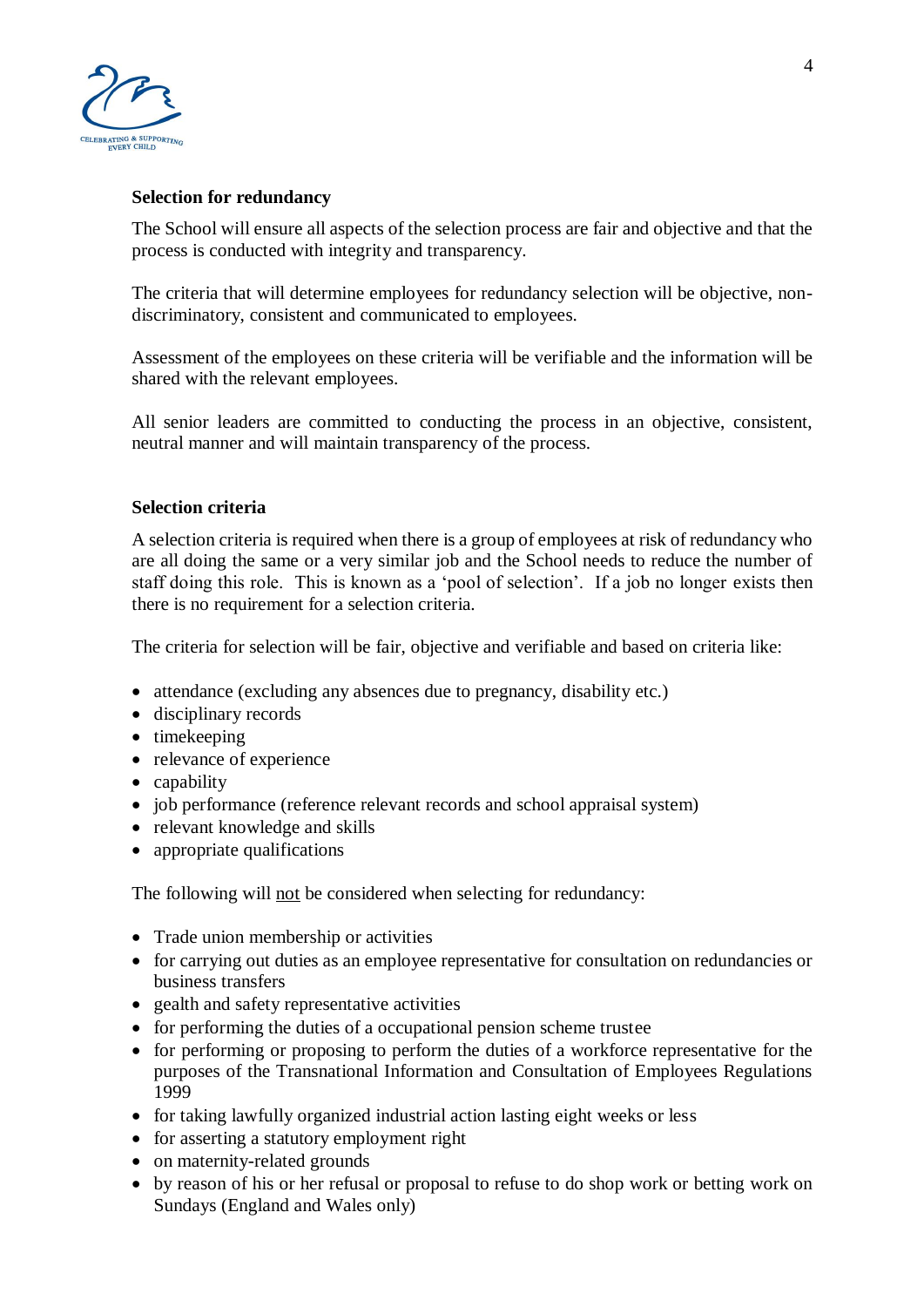

## **Selection for redundancy**

The School will ensure all aspects of the selection process are fair and objective and that the process is conducted with integrity and transparency.

The criteria that will determine employees for redundancy selection will be objective, nondiscriminatory, consistent and communicated to employees.

Assessment of the employees on these criteria will be verifiable and the information will be shared with the relevant employees.

All senior leaders are committed to conducting the process in an objective, consistent, neutral manner and will maintain transparency of the process.

#### **Selection criteria**

A selection criteria is required when there is a group of employees at risk of redundancy who are all doing the same or a very similar job and the School needs to reduce the number of staff doing this role. This is known as a 'pool of selection'. If a job no longer exists then there is no requirement for a selection criteria.

The criteria for selection will be fair, objective and verifiable and based on criteria like:

- attendance (excluding any absences due to pregnancy, disability etc.)
- disciplinary records
- timekeeping
- relevance of experience
- capability
- job performance (reference relevant records and school appraisal system)
- relevant knowledge and skills
- appropriate qualifications

The following will not be considered when selecting for redundancy:

- Trade union membership or activities
- for carrying out duties as an employee representative for consultation on redundancies or business transfers
- gealth and safety representative activities
- for performing the duties of a occupational pension scheme trustee
- for performing or proposing to perform the duties of a workforce representative for the purposes of the Transnational Information and Consultation of Employees Regulations 1999
- for taking lawfully organized industrial action lasting eight weeks or less
- for asserting a statutory employment right
- on maternity-related grounds
- by reason of his or her refusal or proposal to refuse to do shop work or betting work on Sundays (England and Wales only)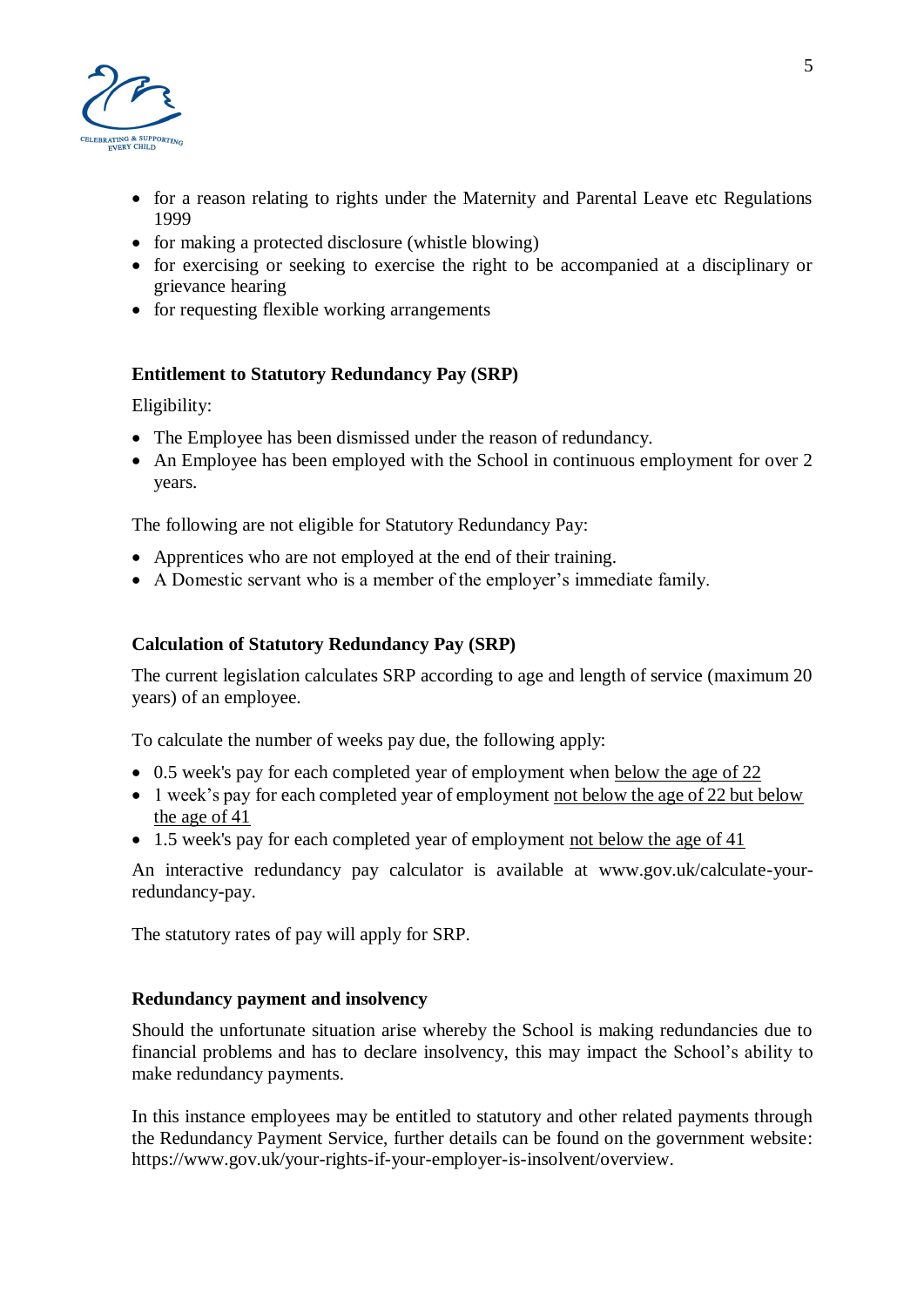

- for a reason relating to rights under the Maternity and Parental Leave etc Regulations 1999
- for making a protected disclosure (whistle blowing)
- for exercising or seeking to exercise the right to be accompanied at a disciplinary or grievance hearing
- for requesting flexible working arrangements

# **Entitlement to Statutory Redundancy Pay (SRP)**

Eligibility:

- The Employee has been dismissed under the reason of redundancy.
- An Employee has been employed with the School in continuous employment for over 2 years.

The following are not eligible for Statutory Redundancy Pay:

- Apprentices who are not employed at the end of their training.
- A Domestic servant who is a member of the employer's immediate family.

## **Calculation of Statutory Redundancy Pay (SRP)**

The current legislation calculates SRP according to age and length of service (maximum 20 years) of an employee.

To calculate the number of weeks pay due, the following apply:

- 0.5 week's pay for each completed year of employment when below the age of 22
- 1 week's pay for each completed year of employment not below the age of 22 but below the age of 41
- 1.5 week's pay for each completed year of employment not below the age of 41

An interactive redundancy pay calculator is available at www.gov.uk/calculate-yourredundancy-pay.

The statutory rates of pay will apply for SRP.

#### **Redundancy payment and insolvency**

Should the unfortunate situation arise whereby the School is making redundancies due to financial problems and has to declare insolvency, this may impact the School's ability to make redundancy payments.

In this instance employees may be entitled to statutory and other related payments through the Redundancy Payment Service, further details can be found on the government website: https://www.gov.uk/your-rights-if-your-employer-is-insolvent/overview.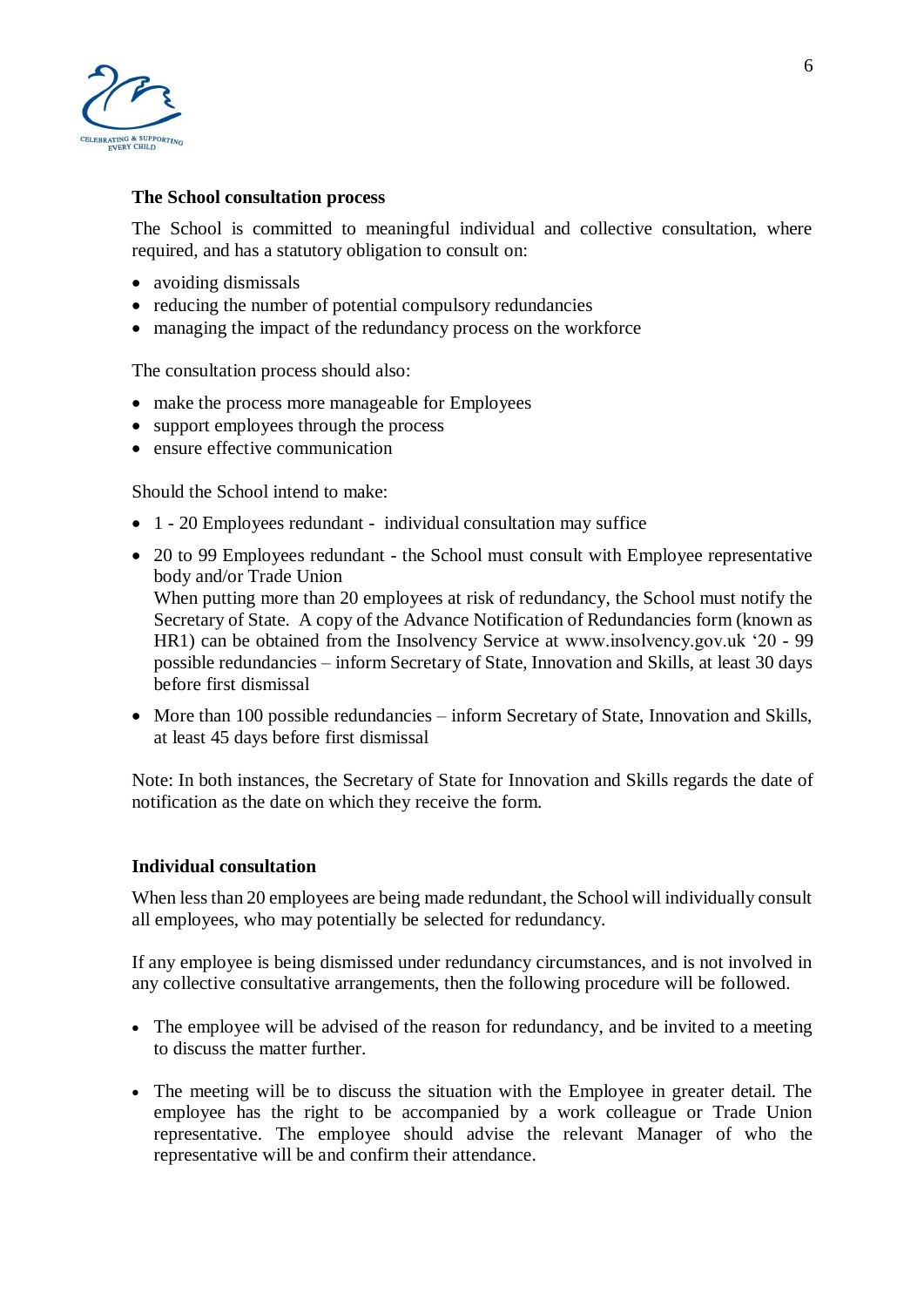

## **The School consultation process**

The School is committed to meaningful individual and collective consultation, where required, and has a statutory obligation to consult on:

- avoiding dismissals
- reducing the number of potential compulsory redundancies
- managing the impact of the redundancy process on the workforce

The consultation process should also:

- make the process more manageable for Employees
- support employees through the process
- ensure effective communication

Should the School intend to make:

- 1 20 Employees redundant individual consultation may suffice
- 20 to 99 Employees redundant the School must consult with Employee representative body and/or Trade Union When putting more than 20 employees at risk of redundancy, the School must notify the Secretary of State. A copy of the Advance Notification of Redundancies form (known as HR1) can be obtained from the Insolvency Service at www.insolvency.gov.uk '20 - 99 possible redundancies – inform Secretary of State, Innovation and Skills, at least 30 days before first dismissal
- More than 100 possible redundancies inform Secretary of State, Innovation and Skills, at least 45 days before first dismissal

Note: In both instances, the Secretary of State for Innovation and Skills regards the date of notification as the date on which they receive the form.

#### **Individual consultation**

When less than 20 employees are being made redundant, the School will individually consult all employees, who may potentially be selected for redundancy.

If any employee is being dismissed under redundancy circumstances, and is not involved in any collective consultative arrangements, then the following procedure will be followed.

- The employee will be advised of the reason for redundancy, and be invited to a meeting to discuss the matter further.
- The meeting will be to discuss the situation with the Employee in greater detail. The employee has the right to be accompanied by a work colleague or Trade Union representative. The employee should advise the relevant Manager of who the representative will be and confirm their attendance.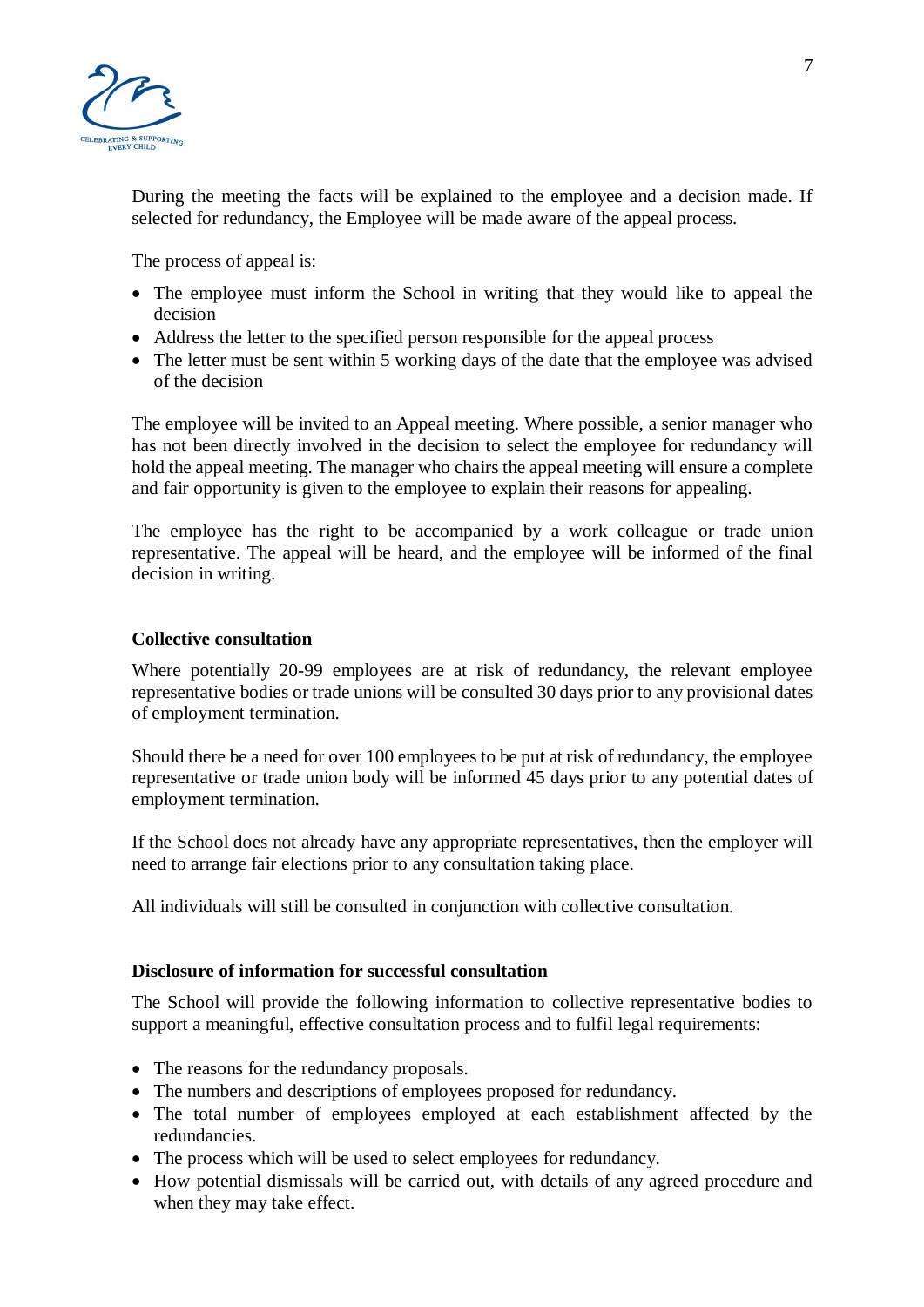

During the meeting the facts will be explained to the employee and a decision made. If selected for redundancy, the Employee will be made aware of the appeal process.

The process of appeal is:

- The employee must inform the School in writing that they would like to appeal the decision
- Address the letter to the specified person responsible for the appeal process
- The letter must be sent within 5 working days of the date that the employee was advised of the decision

The employee will be invited to an Appeal meeting. Where possible, a senior manager who has not been directly involved in the decision to select the employee for redundancy will hold the appeal meeting. The manager who chairs the appeal meeting will ensure a complete and fair opportunity is given to the employee to explain their reasons for appealing.

The employee has the right to be accompanied by a work colleague or trade union representative. The appeal will be heard, and the employee will be informed of the final decision in writing.

## **Collective consultation**

Where potentially 20-99 employees are at risk of redundancy, the relevant employee representative bodies or trade unions will be consulted 30 days prior to any provisional dates of employment termination.

Should there be a need for over 100 employees to be put at risk of redundancy, the employee representative or trade union body will be informed 45 days prior to any potential dates of employment termination.

If the School does not already have any appropriate representatives, then the employer will need to arrange fair elections prior to any consultation taking place.

All individuals will still be consulted in conjunction with collective consultation.

#### **Disclosure of information for successful consultation**

The School will provide the following information to collective representative bodies to support a meaningful, effective consultation process and to fulfil legal requirements:

- The reasons for the redundancy proposals.
- The numbers and descriptions of employees proposed for redundancy.
- The total number of employees employed at each establishment affected by the redundancies.
- The process which will be used to select employees for redundancy.
- How potential dismissals will be carried out, with details of any agreed procedure and when they may take effect.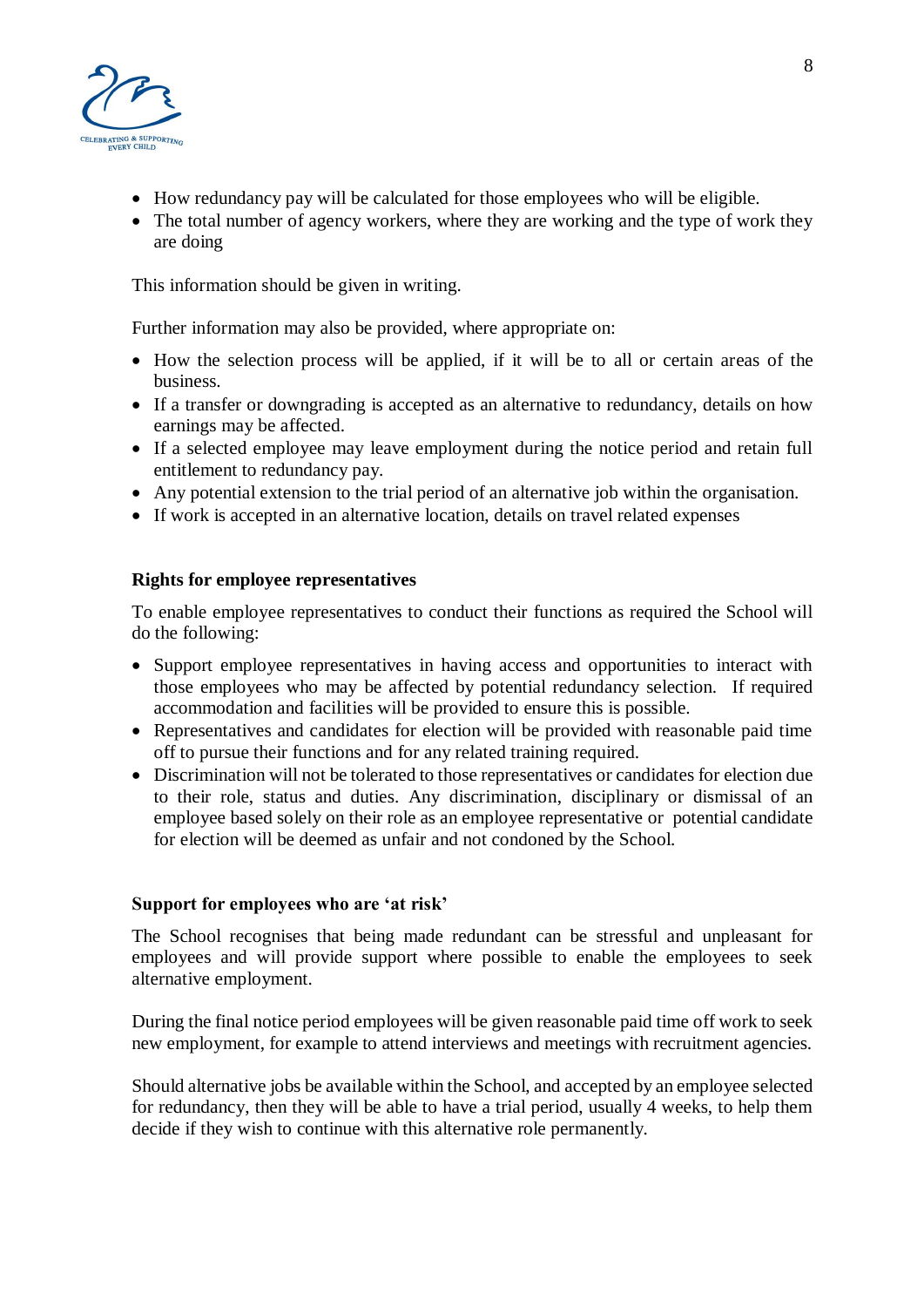

- How redundancy pay will be calculated for those employees who will be eligible.
- The total number of agency workers, where they are working and the type of work they are doing

This information should be given in writing.

Further information may also be provided, where appropriate on:

- How the selection process will be applied, if it will be to all or certain areas of the business.
- If a transfer or downgrading is accepted as an alternative to redundancy, details on how earnings may be affected.
- If a selected employee may leave employment during the notice period and retain full entitlement to redundancy pay.
- Any potential extension to the trial period of an alternative job within the organisation.
- If work is accepted in an alternative location, details on travel related expenses

# **Rights for employee representatives**

To enable employee representatives to conduct their functions as required the School will do the following:

- Support employee representatives in having access and opportunities to interact with those employees who may be affected by potential redundancy selection. If required accommodation and facilities will be provided to ensure this is possible.
- Representatives and candidates for election will be provided with reasonable paid time off to pursue their functions and for any related training required.
- Discrimination will not be tolerated to those representatives or candidates for election due to their role, status and duties. Any discrimination, disciplinary or dismissal of an employee based solely on their role as an employee representative or potential candidate for election will be deemed as unfair and not condoned by the School.

# **Support for employees who are 'at risk'**

The School recognises that being made redundant can be stressful and unpleasant for employees and will provide support where possible to enable the employees to seek alternative employment.

During the final notice period employees will be given reasonable paid time off work to seek new employment, for example to attend interviews and meetings with recruitment agencies.

Should alternative jobs be available within the School, and accepted by an employee selected for redundancy, then they will be able to have a trial period, usually 4 weeks, to help them decide if they wish to continue with this alternative role permanently.